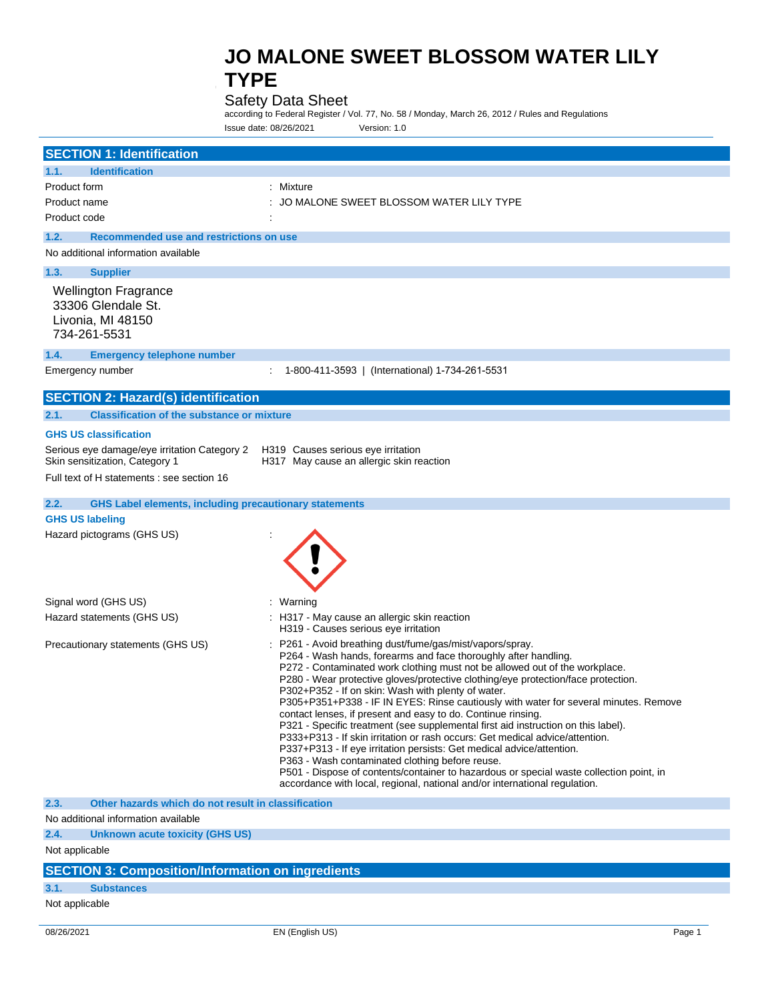## Safety Data Sheet

according to Federal Register / Vol. 77, No. 58 / Monday, March 26, 2012 / Rules and Regulations Issue date: 08/26/2021 Version: 1.0

| <b>SECTION 1: Identification</b><br>1.1.<br><b>Identification</b><br>: Mixture<br>Product form<br>JO MALONE SWEET BLOSSOM WATER LILY TYPE<br>Product name<br>Product code<br>1.2.<br>Recommended use and restrictions on use<br>No additional information available<br><b>Supplier</b><br>1.3.<br><b>Wellington Fragrance</b><br>33306 Glendale St.<br>Livonia, MI 48150<br>734-261-5531<br>1.4.<br><b>Emergency telephone number</b><br>Emergency number<br>1-800-411-3593   (International) 1-734-261-5531<br><b>SECTION 2: Hazard(s) identification</b><br>2.1.<br><b>Classification of the substance or mixture</b><br><b>GHS US classification</b><br>Serious eye damage/eye irritation Category 2<br>H319 Causes serious eye irritation<br>Skin sensitization, Category 1<br>H317 May cause an allergic skin reaction<br>Full text of H statements : see section 16<br>2.2.<br><b>GHS Label elements, including precautionary statements</b><br><b>GHS US labeling</b><br>Hazard pictograms (GHS US)<br>Signal word (GHS US)<br>: Warning<br>Hazard statements (GHS US)<br>: H317 - May cause an allergic skin reaction<br>H319 - Causes serious eye irritation<br>Precautionary statements (GHS US)<br>P261 - Avoid breathing dust/fume/gas/mist/vapors/spray.<br>P264 - Wash hands, forearms and face thoroughly after handling.<br>P272 - Contaminated work clothing must not be allowed out of the workplace.<br>P280 - Wear protective gloves/protective clothing/eye protection/face protection.<br>P302+P352 - If on skin: Wash with plenty of water.<br>P305+P351+P338 - IF IN EYES: Rinse cautiously with water for several minutes. Remove<br>contact lenses, if present and easy to do. Continue rinsing.<br>P321 - Specific treatment (see supplemental first aid instruction on this label).<br>P333+P313 - If skin irritation or rash occurs: Get medical advice/attention.<br>P337+P313 - If eye irritation persists: Get medical advice/attention.<br>P363 - Wash contaminated clothing before reuse.<br>P501 - Dispose of contents/container to hazardous or special waste collection point, in<br>accordance with local, regional, national and/or international regulation.<br>2.3.<br>Other hazards which do not result in classification<br>No additional information available<br>2.4.<br><b>Unknown acute toxicity (GHS US)</b><br>Not applicable |  |
|--------------------------------------------------------------------------------------------------------------------------------------------------------------------------------------------------------------------------------------------------------------------------------------------------------------------------------------------------------------------------------------------------------------------------------------------------------------------------------------------------------------------------------------------------------------------------------------------------------------------------------------------------------------------------------------------------------------------------------------------------------------------------------------------------------------------------------------------------------------------------------------------------------------------------------------------------------------------------------------------------------------------------------------------------------------------------------------------------------------------------------------------------------------------------------------------------------------------------------------------------------------------------------------------------------------------------------------------------------------------------------------------------------------------------------------------------------------------------------------------------------------------------------------------------------------------------------------------------------------------------------------------------------------------------------------------------------------------------------------------------------------------------------------------------------------------------------------------------------------------------------------------------------------------------------------------------------------------------------------------------------------------------------------------------------------------------------------------------------------------------------------------------------------------------------------------------------------------------------------------------------------------------------------------------------------------------------------------------------------------------------|--|
|                                                                                                                                                                                                                                                                                                                                                                                                                                                                                                                                                                                                                                                                                                                                                                                                                                                                                                                                                                                                                                                                                                                                                                                                                                                                                                                                                                                                                                                                                                                                                                                                                                                                                                                                                                                                                                                                                                                                                                                                                                                                                                                                                                                                                                                                                                                                                                                |  |
|                                                                                                                                                                                                                                                                                                                                                                                                                                                                                                                                                                                                                                                                                                                                                                                                                                                                                                                                                                                                                                                                                                                                                                                                                                                                                                                                                                                                                                                                                                                                                                                                                                                                                                                                                                                                                                                                                                                                                                                                                                                                                                                                                                                                                                                                                                                                                                                |  |
|                                                                                                                                                                                                                                                                                                                                                                                                                                                                                                                                                                                                                                                                                                                                                                                                                                                                                                                                                                                                                                                                                                                                                                                                                                                                                                                                                                                                                                                                                                                                                                                                                                                                                                                                                                                                                                                                                                                                                                                                                                                                                                                                                                                                                                                                                                                                                                                |  |
|                                                                                                                                                                                                                                                                                                                                                                                                                                                                                                                                                                                                                                                                                                                                                                                                                                                                                                                                                                                                                                                                                                                                                                                                                                                                                                                                                                                                                                                                                                                                                                                                                                                                                                                                                                                                                                                                                                                                                                                                                                                                                                                                                                                                                                                                                                                                                                                |  |
|                                                                                                                                                                                                                                                                                                                                                                                                                                                                                                                                                                                                                                                                                                                                                                                                                                                                                                                                                                                                                                                                                                                                                                                                                                                                                                                                                                                                                                                                                                                                                                                                                                                                                                                                                                                                                                                                                                                                                                                                                                                                                                                                                                                                                                                                                                                                                                                |  |
|                                                                                                                                                                                                                                                                                                                                                                                                                                                                                                                                                                                                                                                                                                                                                                                                                                                                                                                                                                                                                                                                                                                                                                                                                                                                                                                                                                                                                                                                                                                                                                                                                                                                                                                                                                                                                                                                                                                                                                                                                                                                                                                                                                                                                                                                                                                                                                                |  |
|                                                                                                                                                                                                                                                                                                                                                                                                                                                                                                                                                                                                                                                                                                                                                                                                                                                                                                                                                                                                                                                                                                                                                                                                                                                                                                                                                                                                                                                                                                                                                                                                                                                                                                                                                                                                                                                                                                                                                                                                                                                                                                                                                                                                                                                                                                                                                                                |  |
|                                                                                                                                                                                                                                                                                                                                                                                                                                                                                                                                                                                                                                                                                                                                                                                                                                                                                                                                                                                                                                                                                                                                                                                                                                                                                                                                                                                                                                                                                                                                                                                                                                                                                                                                                                                                                                                                                                                                                                                                                                                                                                                                                                                                                                                                                                                                                                                |  |
|                                                                                                                                                                                                                                                                                                                                                                                                                                                                                                                                                                                                                                                                                                                                                                                                                                                                                                                                                                                                                                                                                                                                                                                                                                                                                                                                                                                                                                                                                                                                                                                                                                                                                                                                                                                                                                                                                                                                                                                                                                                                                                                                                                                                                                                                                                                                                                                |  |
|                                                                                                                                                                                                                                                                                                                                                                                                                                                                                                                                                                                                                                                                                                                                                                                                                                                                                                                                                                                                                                                                                                                                                                                                                                                                                                                                                                                                                                                                                                                                                                                                                                                                                                                                                                                                                                                                                                                                                                                                                                                                                                                                                                                                                                                                                                                                                                                |  |
|                                                                                                                                                                                                                                                                                                                                                                                                                                                                                                                                                                                                                                                                                                                                                                                                                                                                                                                                                                                                                                                                                                                                                                                                                                                                                                                                                                                                                                                                                                                                                                                                                                                                                                                                                                                                                                                                                                                                                                                                                                                                                                                                                                                                                                                                                                                                                                                |  |
|                                                                                                                                                                                                                                                                                                                                                                                                                                                                                                                                                                                                                                                                                                                                                                                                                                                                                                                                                                                                                                                                                                                                                                                                                                                                                                                                                                                                                                                                                                                                                                                                                                                                                                                                                                                                                                                                                                                                                                                                                                                                                                                                                                                                                                                                                                                                                                                |  |
|                                                                                                                                                                                                                                                                                                                                                                                                                                                                                                                                                                                                                                                                                                                                                                                                                                                                                                                                                                                                                                                                                                                                                                                                                                                                                                                                                                                                                                                                                                                                                                                                                                                                                                                                                                                                                                                                                                                                                                                                                                                                                                                                                                                                                                                                                                                                                                                |  |
|                                                                                                                                                                                                                                                                                                                                                                                                                                                                                                                                                                                                                                                                                                                                                                                                                                                                                                                                                                                                                                                                                                                                                                                                                                                                                                                                                                                                                                                                                                                                                                                                                                                                                                                                                                                                                                                                                                                                                                                                                                                                                                                                                                                                                                                                                                                                                                                |  |
|                                                                                                                                                                                                                                                                                                                                                                                                                                                                                                                                                                                                                                                                                                                                                                                                                                                                                                                                                                                                                                                                                                                                                                                                                                                                                                                                                                                                                                                                                                                                                                                                                                                                                                                                                                                                                                                                                                                                                                                                                                                                                                                                                                                                                                                                                                                                                                                |  |
|                                                                                                                                                                                                                                                                                                                                                                                                                                                                                                                                                                                                                                                                                                                                                                                                                                                                                                                                                                                                                                                                                                                                                                                                                                                                                                                                                                                                                                                                                                                                                                                                                                                                                                                                                                                                                                                                                                                                                                                                                                                                                                                                                                                                                                                                                                                                                                                |  |
|                                                                                                                                                                                                                                                                                                                                                                                                                                                                                                                                                                                                                                                                                                                                                                                                                                                                                                                                                                                                                                                                                                                                                                                                                                                                                                                                                                                                                                                                                                                                                                                                                                                                                                                                                                                                                                                                                                                                                                                                                                                                                                                                                                                                                                                                                                                                                                                |  |
|                                                                                                                                                                                                                                                                                                                                                                                                                                                                                                                                                                                                                                                                                                                                                                                                                                                                                                                                                                                                                                                                                                                                                                                                                                                                                                                                                                                                                                                                                                                                                                                                                                                                                                                                                                                                                                                                                                                                                                                                                                                                                                                                                                                                                                                                                                                                                                                |  |
|                                                                                                                                                                                                                                                                                                                                                                                                                                                                                                                                                                                                                                                                                                                                                                                                                                                                                                                                                                                                                                                                                                                                                                                                                                                                                                                                                                                                                                                                                                                                                                                                                                                                                                                                                                                                                                                                                                                                                                                                                                                                                                                                                                                                                                                                                                                                                                                |  |
|                                                                                                                                                                                                                                                                                                                                                                                                                                                                                                                                                                                                                                                                                                                                                                                                                                                                                                                                                                                                                                                                                                                                                                                                                                                                                                                                                                                                                                                                                                                                                                                                                                                                                                                                                                                                                                                                                                                                                                                                                                                                                                                                                                                                                                                                                                                                                                                |  |
|                                                                                                                                                                                                                                                                                                                                                                                                                                                                                                                                                                                                                                                                                                                                                                                                                                                                                                                                                                                                                                                                                                                                                                                                                                                                                                                                                                                                                                                                                                                                                                                                                                                                                                                                                                                                                                                                                                                                                                                                                                                                                                                                                                                                                                                                                                                                                                                |  |
|                                                                                                                                                                                                                                                                                                                                                                                                                                                                                                                                                                                                                                                                                                                                                                                                                                                                                                                                                                                                                                                                                                                                                                                                                                                                                                                                                                                                                                                                                                                                                                                                                                                                                                                                                                                                                                                                                                                                                                                                                                                                                                                                                                                                                                                                                                                                                                                |  |
|                                                                                                                                                                                                                                                                                                                                                                                                                                                                                                                                                                                                                                                                                                                                                                                                                                                                                                                                                                                                                                                                                                                                                                                                                                                                                                                                                                                                                                                                                                                                                                                                                                                                                                                                                                                                                                                                                                                                                                                                                                                                                                                                                                                                                                                                                                                                                                                |  |
|                                                                                                                                                                                                                                                                                                                                                                                                                                                                                                                                                                                                                                                                                                                                                                                                                                                                                                                                                                                                                                                                                                                                                                                                                                                                                                                                                                                                                                                                                                                                                                                                                                                                                                                                                                                                                                                                                                                                                                                                                                                                                                                                                                                                                                                                                                                                                                                |  |
|                                                                                                                                                                                                                                                                                                                                                                                                                                                                                                                                                                                                                                                                                                                                                                                                                                                                                                                                                                                                                                                                                                                                                                                                                                                                                                                                                                                                                                                                                                                                                                                                                                                                                                                                                                                                                                                                                                                                                                                                                                                                                                                                                                                                                                                                                                                                                                                |  |
|                                                                                                                                                                                                                                                                                                                                                                                                                                                                                                                                                                                                                                                                                                                                                                                                                                                                                                                                                                                                                                                                                                                                                                                                                                                                                                                                                                                                                                                                                                                                                                                                                                                                                                                                                                                                                                                                                                                                                                                                                                                                                                                                                                                                                                                                                                                                                                                |  |
| $OPTATIALC.$ $Q = max = 11124$ Hart $Q = max = 11$                                                                                                                                                                                                                                                                                                                                                                                                                                                                                                                                                                                                                                                                                                                                                                                                                                                                                                                                                                                                                                                                                                                                                                                                                                                                                                                                                                                                                                                                                                                                                                                                                                                                                                                                                                                                                                                                                                                                                                                                                                                                                                                                                                                                                                                                                                                             |  |

### **SECTION 3: Composition/Information on ingredients**

### **3.1. Substances**

Not applicable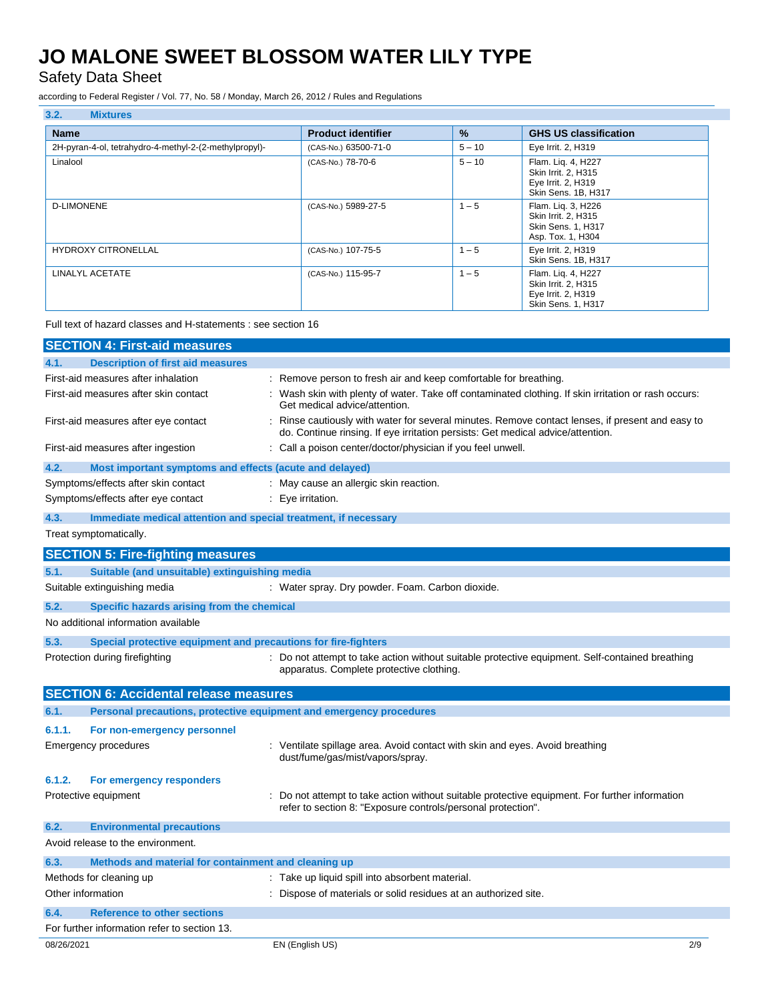Safety Data Sheet

according to Federal Register / Vol. 77, No. 58 / Monday, March 26, 2012 / Rules and Regulations

| 3.2.<br><b>Mixtures</b>                                |                           |          |                                                                                        |
|--------------------------------------------------------|---------------------------|----------|----------------------------------------------------------------------------------------|
| <b>Name</b>                                            | <b>Product identifier</b> | $\%$     | <b>GHS US classification</b>                                                           |
| 2H-pyran-4-ol, tetrahydro-4-methyl-2-(2-methylpropyl)- | (CAS-No.) 63500-71-0      | $5 - 10$ | Eye Irrit. 2, H319                                                                     |
| Linalool                                               | (CAS-No.) 78-70-6         | $5 - 10$ | Flam. Lig. 4, H227<br>Skin Irrit. 2, H315<br>Eye Irrit. 2, H319<br>Skin Sens. 1B, H317 |
| <b>D-LIMONENE</b>                                      | (CAS-No.) 5989-27-5       | $1 - 5$  | Flam. Lig. 3, H226<br>Skin Irrit. 2, H315<br>Skin Sens. 1, H317<br>Asp. Tox. 1, H304   |
| <b>HYDROXY CITRONELLAL</b>                             | (CAS-No.) 107-75-5        | $1 - 5$  | Eye Irrit. 2, H319<br>Skin Sens. 1B, H317                                              |
| LINALYL ACETATE                                        | (CAS-No.) 115-95-7        | $1 - 5$  | Flam. Lig. 4, H227<br>Skin Irrit. 2, H315<br>Eye Irrit. 2, H319<br>Skin Sens. 1, H317  |

Full text of hazard classes and H-statements : see section 16

|                   | <b>SECTION 4: First-aid measures</b>                                |                                                                                                                                                                                   |
|-------------------|---------------------------------------------------------------------|-----------------------------------------------------------------------------------------------------------------------------------------------------------------------------------|
| 4.1.              | <b>Description of first aid measures</b>                            |                                                                                                                                                                                   |
|                   | First-aid measures after inhalation                                 | : Remove person to fresh air and keep comfortable for breathing.                                                                                                                  |
|                   | First-aid measures after skin contact                               | : Wash skin with plenty of water. Take off contaminated clothing. If skin irritation or rash occurs:<br>Get medical advice/attention.                                             |
|                   | First-aid measures after eye contact                                | Rinse cautiously with water for several minutes. Remove contact lenses, if present and easy to<br>do. Continue rinsing. If eye irritation persists: Get medical advice/attention. |
|                   | First-aid measures after ingestion                                  | : Call a poison center/doctor/physician if you feel unwell.                                                                                                                       |
| 4.2.              | Most important symptoms and effects (acute and delayed)             |                                                                                                                                                                                   |
|                   | Symptoms/effects after skin contact                                 | : May cause an allergic skin reaction.                                                                                                                                            |
|                   | Symptoms/effects after eye contact                                  | : Eye irritation.                                                                                                                                                                 |
| 4.3.              | Immediate medical attention and special treatment, if necessary     |                                                                                                                                                                                   |
|                   | Treat symptomatically.                                              |                                                                                                                                                                                   |
|                   | <b>SECTION 5: Fire-fighting measures</b>                            |                                                                                                                                                                                   |
| 5.1.              | Suitable (and unsuitable) extinguishing media                       |                                                                                                                                                                                   |
|                   | Suitable extinguishing media                                        | : Water spray. Dry powder. Foam. Carbon dioxide.                                                                                                                                  |
| 5.2.              | Specific hazards arising from the chemical                          |                                                                                                                                                                                   |
|                   | No additional information available                                 |                                                                                                                                                                                   |
| 5.3.              | Special protective equipment and precautions for fire-fighters      |                                                                                                                                                                                   |
|                   | Protection during firefighting                                      | : Do not attempt to take action without suitable protective equipment. Self-contained breathing<br>apparatus. Complete protective clothing.                                       |
|                   | <b>SECTION 6: Accidental release measures</b>                       |                                                                                                                                                                                   |
| 6.1.              | Personal precautions, protective equipment and emergency procedures |                                                                                                                                                                                   |
| 6.1.1.            | For non-emergency personnel                                         |                                                                                                                                                                                   |
|                   | Emergency procedures                                                | : Ventilate spillage area. Avoid contact with skin and eyes. Avoid breathing<br>dust/fume/gas/mist/vapors/spray.                                                                  |
| 6.1.2.            | For emergency responders                                            |                                                                                                                                                                                   |
|                   | Protective equipment                                                | Do not attempt to take action without suitable protective equipment. For further information<br>refer to section 8: "Exposure controls/personal protection".                      |
| 6.2.              | <b>Environmental precautions</b>                                    |                                                                                                                                                                                   |
|                   | Avoid release to the environment.                                   |                                                                                                                                                                                   |
| 6.3.              | Methods and material for containment and cleaning up                |                                                                                                                                                                                   |
|                   | Methods for cleaning up                                             | : Take up liquid spill into absorbent material.                                                                                                                                   |
| Other information |                                                                     | : Dispose of materials or solid residues at an authorized site.                                                                                                                   |
| 6.4.              | <b>Reference to other sections</b>                                  |                                                                                                                                                                                   |
|                   | For further information refer to section 13.                        |                                                                                                                                                                                   |
| 08/26/2021        |                                                                     | 2/9<br>EN (English US)                                                                                                                                                            |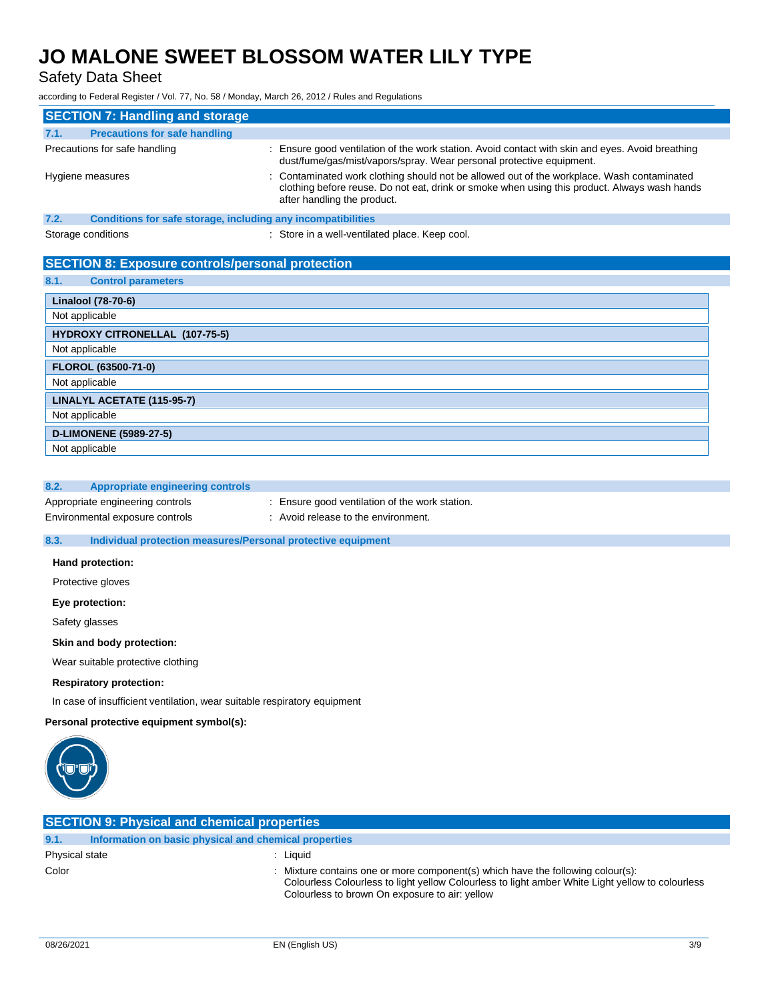Safety Data Sheet

according to Federal Register / Vol. 77, No. 58 / Monday, March 26, 2012 / Rules and Regulations

|      | <b>SECTION 7: Handling and storage</b>                       |                                                                                                                                                                                                                           |
|------|--------------------------------------------------------------|---------------------------------------------------------------------------------------------------------------------------------------------------------------------------------------------------------------------------|
| 7.1. | <b>Precautions for safe handling</b>                         |                                                                                                                                                                                                                           |
|      | Precautions for safe handling                                | : Ensure good ventilation of the work station. Avoid contact with skin and eyes. Avoid breathing<br>dust/fume/gas/mist/vapors/spray. Wear personal protective equipment.                                                  |
|      | Hygiene measures                                             | : Contaminated work clothing should not be allowed out of the workplace. Wash contaminated<br>clothing before reuse. Do not eat, drink or smoke when using this product. Always wash hands<br>after handling the product. |
| 7.2. | Conditions for safe storage, including any incompatibilities |                                                                                                                                                                                                                           |
|      | Storage conditions                                           | : Store in a well-ventilated place. Keep cool.                                                                                                                                                                            |

## **SECTION 8: Exposure controls/personal protection**

| <b>Control parameters</b><br>8.1. |  |  |  |
|-----------------------------------|--|--|--|
|-----------------------------------|--|--|--|

| <b>Linalool (78-70-6)</b>      |
|--------------------------------|
| Not applicable                 |
| HYDROXY CITRONELLAL (107-75-5) |
| Not applicable                 |
| <b>FLOROL (63500-71-0)</b>     |
| Not applicable                 |
| LINALYL ACETATE (115-95-7)     |
| Not applicable                 |
| <b>D-LIMONENE (5989-27-5)</b>  |
| Not applicable                 |

### **8.2. Appropriate engineering controls**

Appropriate engineering controls : Ensure good ventilation of the work station. Environmental exposure controls : Avoid release to the environment.

### **8.3. Individual protection measures/Personal protective equipment**

### **Hand protection:**

Protective gloves

**Eye protection:**

Safety glasses

### **Skin and body protection:**

Wear suitable protective clothing

#### **Respiratory protection:**

In case of insufficient ventilation, wear suitable respiratory equipment

### **Personal protective equipment symbol(s):**



| <b>SECTION 9: Physical and chemical properties</b>            |                                                                                                                                                                                                                                       |  |
|---------------------------------------------------------------|---------------------------------------------------------------------------------------------------------------------------------------------------------------------------------------------------------------------------------------|--|
| Information on basic physical and chemical properties<br>9.1. |                                                                                                                                                                                                                                       |  |
| Physical state                                                | Liauid                                                                                                                                                                                                                                |  |
| Color                                                         | : Mixture contains one or more component(s) which have the following colour(s):<br>Colourless Colourless to light yellow Colourless to light amber White Light yellow to colourless<br>Colourless to brown On exposure to air: yellow |  |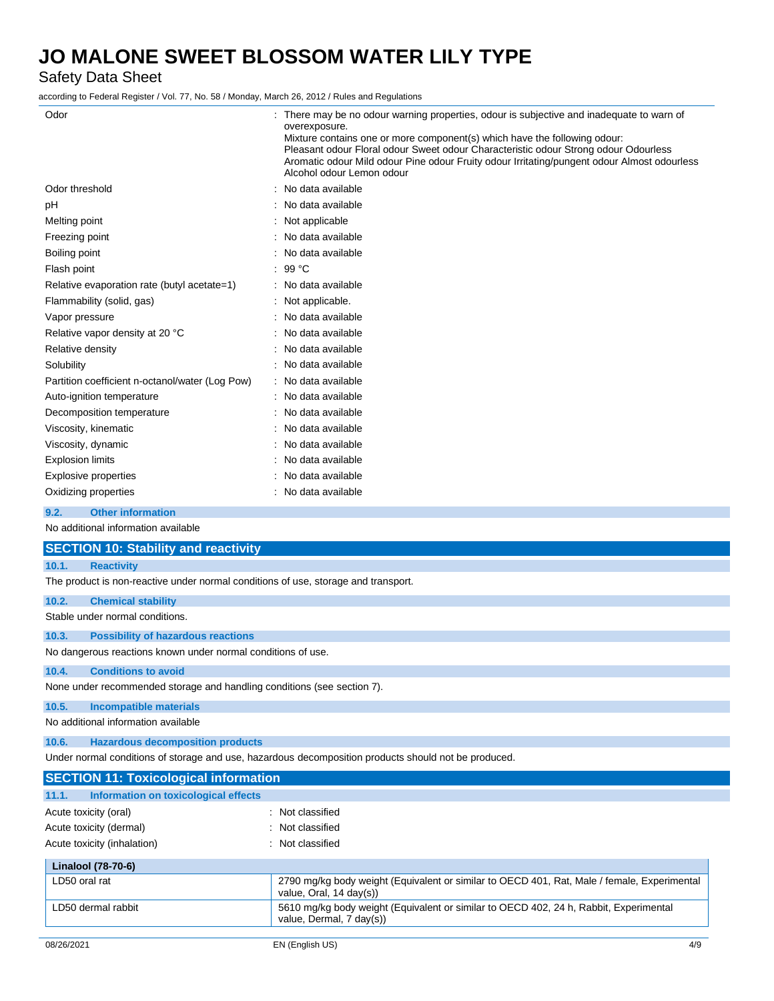Safety Data Sheet

according to Federal Register / Vol. 77, No. 58 / Monday, March 26, 2012 / Rules and Regulations

| Odor                                            | There may be no odour warning properties, odour is subjective and inadequate to warn of<br>overexposure.<br>Mixture contains one or more component(s) which have the following odour:<br>Pleasant odour Floral odour Sweet odour Characteristic odour Strong odour Odourless<br>Aromatic odour Mild odour Pine odour Fruity odour Irritating/pungent odour Almost odourless<br>Alcohol odour Lemon odour |
|-------------------------------------------------|----------------------------------------------------------------------------------------------------------------------------------------------------------------------------------------------------------------------------------------------------------------------------------------------------------------------------------------------------------------------------------------------------------|
| Odor threshold                                  | : No data available                                                                                                                                                                                                                                                                                                                                                                                      |
| рH                                              | No data available                                                                                                                                                                                                                                                                                                                                                                                        |
| Melting point                                   | Not applicable                                                                                                                                                                                                                                                                                                                                                                                           |
| Freezing point                                  | No data available                                                                                                                                                                                                                                                                                                                                                                                        |
| Boiling point                                   | No data available                                                                                                                                                                                                                                                                                                                                                                                        |
| Flash point                                     | : 99 °C                                                                                                                                                                                                                                                                                                                                                                                                  |
| Relative evaporation rate (butyl acetate=1)     | : No data available                                                                                                                                                                                                                                                                                                                                                                                      |
| Flammability (solid, gas)                       | Not applicable.                                                                                                                                                                                                                                                                                                                                                                                          |
| Vapor pressure                                  | No data available                                                                                                                                                                                                                                                                                                                                                                                        |
| Relative vapor density at 20 °C                 | No data available                                                                                                                                                                                                                                                                                                                                                                                        |
| Relative density                                | No data available                                                                                                                                                                                                                                                                                                                                                                                        |
| Solubility                                      | : No data available                                                                                                                                                                                                                                                                                                                                                                                      |
| Partition coefficient n-octanol/water (Log Pow) | : No data available                                                                                                                                                                                                                                                                                                                                                                                      |
| Auto-ignition temperature                       | No data available                                                                                                                                                                                                                                                                                                                                                                                        |
| Decomposition temperature                       | No data available                                                                                                                                                                                                                                                                                                                                                                                        |
| Viscosity, kinematic                            | No data available                                                                                                                                                                                                                                                                                                                                                                                        |
| Viscosity, dynamic                              | No data available                                                                                                                                                                                                                                                                                                                                                                                        |
| <b>Explosion limits</b>                         | No data available                                                                                                                                                                                                                                                                                                                                                                                        |
| <b>Explosive properties</b>                     | No data available                                                                                                                                                                                                                                                                                                                                                                                        |
| Oxidizing properties                            | No data available                                                                                                                                                                                                                                                                                                                                                                                        |
| 9.2.<br><b>Other information</b>                |                                                                                                                                                                                                                                                                                                                                                                                                          |

No additional information available

**11.1. Information on toxicological effects**

|       | <b>SECTION 10: Stability and reactivity</b>                                                          |
|-------|------------------------------------------------------------------------------------------------------|
| 10.1. | <b>Reactivity</b>                                                                                    |
|       | The product is non-reactive under normal conditions of use, storage and transport.                   |
| 10.2. | <b>Chemical stability</b>                                                                            |
|       | Stable under normal conditions.                                                                      |
| 10.3. | <b>Possibility of hazardous reactions</b>                                                            |
|       | No dangerous reactions known under normal conditions of use.                                         |
| 10.4. | <b>Conditions to avoid</b>                                                                           |
|       | None under recommended storage and handling conditions (see section 7).                              |
| 10.5. | <b>Incompatible materials</b>                                                                        |
|       | No additional information available                                                                  |
| 10.6. | <b>Hazardous decomposition products</b>                                                              |
|       | Under normal conditions of storage and use, hazardous decomposition products should not be produced. |
|       | <b>SECTION 11: Toxicological information</b>                                                         |

| Acute toxicity (oral)<br>Acute toxicity (dermal)<br>Acute toxicity (inhalation) | : Not classified<br>: Not classified<br>: Not classified                                                               |
|---------------------------------------------------------------------------------|------------------------------------------------------------------------------------------------------------------------|
| Linalool (78-70-6)                                                              |                                                                                                                        |
| LD50 oral rat                                                                   | 2790 mg/kg body weight (Equivalent or similar to OECD 401, Rat, Male / female, Experimental<br>value, Oral, 14 day(s)) |
| LD50 dermal rabbit                                                              | 5610 mg/kg body weight (Equivalent or similar to OECD 402, 24 h, Rabbit, Experimental<br>value, Dermal, 7 day(s))      |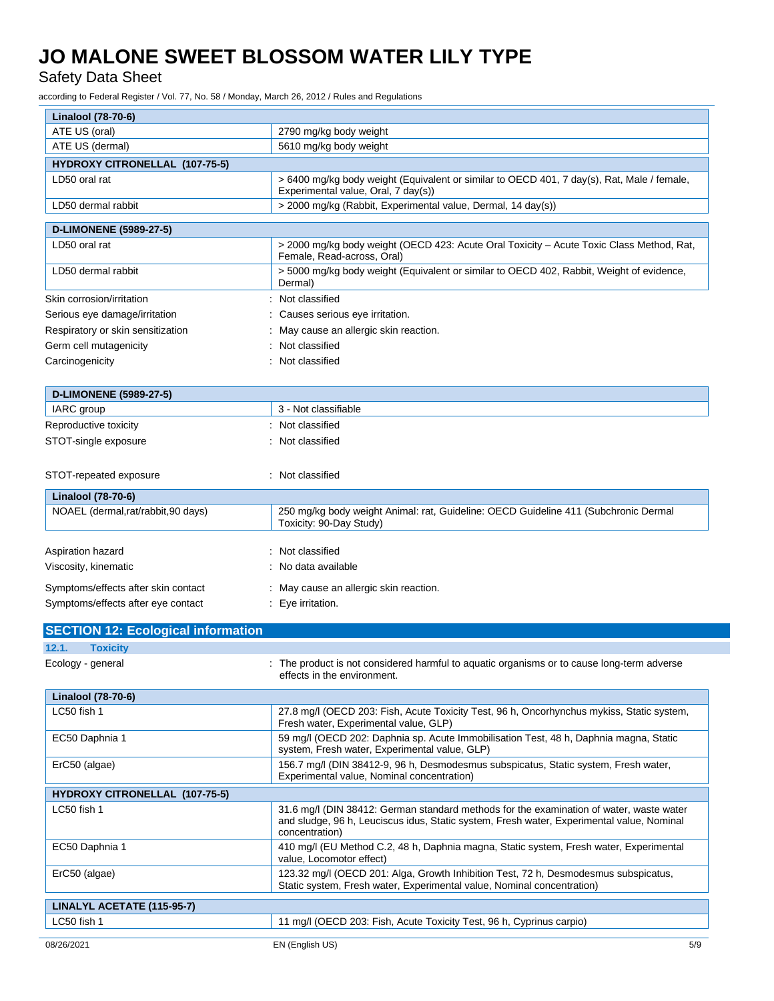Safety Data Sheet

according to Federal Register / Vol. 77, No. 58 / Monday, March 26, 2012 / Rules and Regulations

| Linalool (78-70-6)                        |                                                                                                                                        |
|-------------------------------------------|----------------------------------------------------------------------------------------------------------------------------------------|
| ATE US (oral)                             | 2790 mg/kg body weight                                                                                                                 |
| ATE US (dermal)                           | 5610 mg/kg body weight                                                                                                                 |
| HYDROXY CITRONELLAL (107-75-5)            |                                                                                                                                        |
| LD50 oral rat                             | > 6400 mg/kg body weight (Equivalent or similar to OECD 401, 7 day(s), Rat, Male / female,<br>Experimental value, Oral, 7 day(s))      |
| LD50 dermal rabbit                        | > 2000 mg/kg (Rabbit, Experimental value, Dermal, 14 day(s))                                                                           |
| <b>D-LIMONENE (5989-27-5)</b>             |                                                                                                                                        |
| LD50 oral rat                             | > 2000 mg/kg body weight (OECD 423: Acute Oral Toxicity – Acute Toxic Class Method, Rat,<br>Female, Read-across, Oral)                 |
| LD50 dermal rabbit                        | > 5000 mg/kg body weight (Equivalent or similar to OECD 402, Rabbit, Weight of evidence,<br>Dermal)                                    |
| Skin corrosion/irritation                 | : Not classified                                                                                                                       |
| Serious eye damage/irritation             | Causes serious eye irritation.                                                                                                         |
| Respiratory or skin sensitization         | May cause an allergic skin reaction.                                                                                                   |
| Germ cell mutagenicity                    | Not classified                                                                                                                         |
| Carcinogenicity                           | Not classified                                                                                                                         |
|                                           |                                                                                                                                        |
| <b>D-LIMONENE (5989-27-5)</b>             |                                                                                                                                        |
| IARC group                                | 3 - Not classifiable                                                                                                                   |
| Reproductive toxicity                     | Not classified                                                                                                                         |
| STOT-single exposure                      | Not classified                                                                                                                         |
|                                           |                                                                                                                                        |
| STOT-repeated exposure                    | : Not classified                                                                                                                       |
| Linalool (78-70-6)                        |                                                                                                                                        |
| NOAEL (dermal,rat/rabbit,90 days)         | 250 mg/kg body weight Animal: rat, Guideline: OECD Guideline 411 (Subchronic Dermal<br>Toxicity: 90-Day Study)                         |
|                                           |                                                                                                                                        |
| Aspiration hazard                         | Not classified                                                                                                                         |
| Viscosity, kinematic                      | No data available                                                                                                                      |
| Symptoms/effects after skin contact       | : May cause an allergic skin reaction.                                                                                                 |
| Symptoms/effects after eye contact        | : Eye irritation.                                                                                                                      |
|                                           |                                                                                                                                        |
| <b>SECTION 12: Ecological information</b> |                                                                                                                                        |
| 12.1.<br><b>Toxicity</b>                  |                                                                                                                                        |
| Ecology - general                         | : The product is not considered harmful to aquatic organisms or to cause long-term adverse<br>effects in the environment.              |
| <b>Linalool (78-70-6)</b>                 |                                                                                                                                        |
| LC50 fish 1                               | 27.8 mg/l (OECD 203: Fish, Acute Toxicity Test, 96 h, Oncorhynchus mykiss, Static system,<br>Fresh water, Experimental value, GLP)     |
| EC50 Daphnia 1                            | 59 mg/l (OECD 202: Daphnia sp. Acute Immobilisation Test, 48 h, Daphnia magna, Static<br>system, Fresh water, Experimental value, GLP) |
| ErC50 (algae)                             | 156.7 mg/l (DIN 38412-9, 96 h, Desmodesmus subspicatus, Static system, Fresh water,                                                    |

Experimental value, Nominal concentration)

LC50 fish 1 31.6 mg/l (DIN 38412: German standard methods for the examination of water, waste water

EC50 Daphnia 1 410 mg/l (EU Method C.2, 48 h, Daphnia magna, Static system, Fresh water, Experimental

ErC50 (algae) 123.32 mg/l (OECD 201: Alga, Growth Inhibition Test, 72 h, Desmodesmus subspicatus,

and sludge, 96 h, Leuciscus idus, Static system, Fresh water, Experimental value, Nominal

Static system, Fresh water, Experimental value, Nominal concentration)

**HYDROXY CITRONELLAL (107-75-5)**

**LINALYL ACETATE (115-95-7)**

LC50 fish 1 11 mg/l (OECD 203: Fish, Acute Toxicity Test, 96 h, Cyprinus carpio)

concentration)

value, Locomotor effect)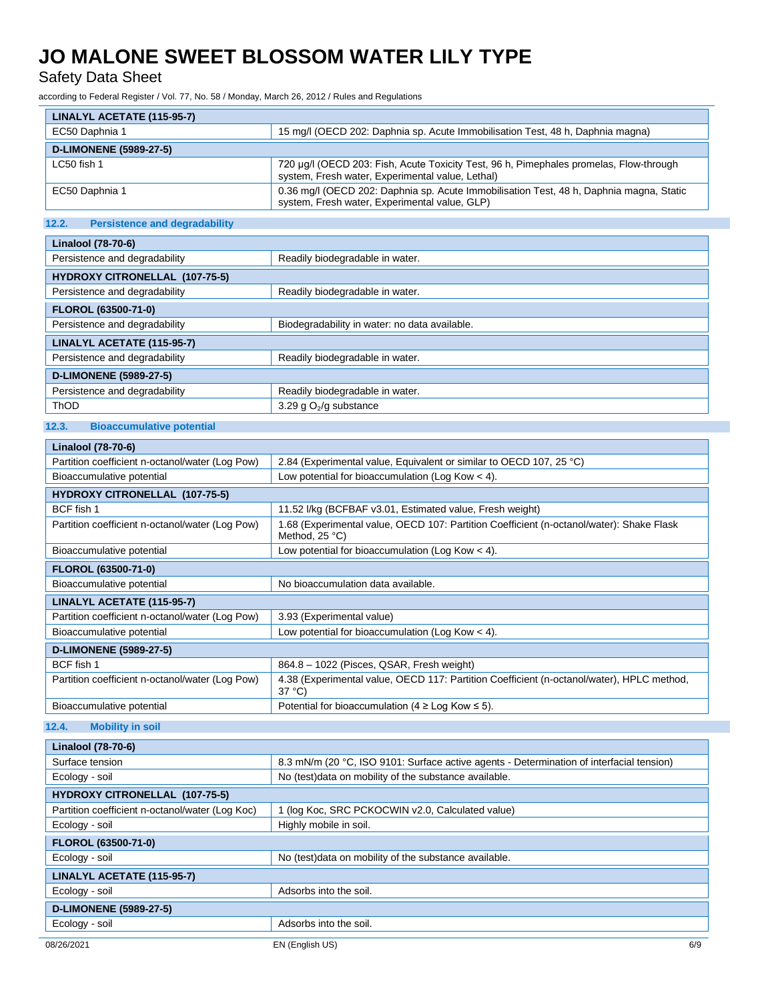Safety Data Sheet

according to Federal Register / Vol. 77, No. 58 / Monday, March 26, 2012 / Rules and Regulations

| LINALYL ACETATE (115-95-7)    |                                                                                                                                            |
|-------------------------------|--------------------------------------------------------------------------------------------------------------------------------------------|
| EC50 Daphnia 1                | 15 mg/l (OECD 202: Daphnia sp. Acute Immobilisation Test, 48 h, Daphnia magna)                                                             |
| <b>D-LIMONENE (5989-27-5)</b> |                                                                                                                                            |
| LC50 fish 1                   | 720 µg/l (OECD 203: Fish, Acute Toxicity Test, 96 h, Pimephales promelas, Flow-through<br>system, Fresh water, Experimental value, Lethal) |
| EC50 Daphnia 1                | 0.36 mg/l (OECD 202: Daphnia sp. Acute Immobilisation Test, 48 h, Daphnia magna, Static<br>system, Fresh water, Experimental value, GLP)   |

## **12.2. Persistence and degradability**

| <b>Linalool (78-70-6)</b>      |                                               |  |
|--------------------------------|-----------------------------------------------|--|
| Persistence and degradability  | Readily biodegradable in water.               |  |
| HYDROXY CITRONELLAL (107-75-5) |                                               |  |
| Persistence and degradability  | Readily biodegradable in water.               |  |
| FLOROL (63500-71-0)            |                                               |  |
| Persistence and degradability  | Biodegradability in water: no data available. |  |
| LINALYL ACETATE (115-95-7)     |                                               |  |
| Persistence and degradability  | Readily biodegradable in water.               |  |
| <b>D-LIMONENE (5989-27-5)</b>  |                                               |  |
| Persistence and degradability  | Readily biodegradable in water.               |  |
| <b>ThOD</b>                    | 3.29 g $O_2$ /g substance                     |  |

### **12.3. Bioaccumulative potential**

| Linalool (78-70-6)                              |                                                                                                              |  |  |  |
|-------------------------------------------------|--------------------------------------------------------------------------------------------------------------|--|--|--|
| Partition coefficient n-octanol/water (Log Pow) | 2.84 (Experimental value, Equivalent or similar to OECD 107, 25 °C)                                          |  |  |  |
| Bioaccumulative potential                       | Low potential for bioaccumulation (Log Kow $<$ 4).                                                           |  |  |  |
| <b>HYDROXY CITRONELLAL (107-75-5)</b>           |                                                                                                              |  |  |  |
| BCF fish 1                                      | 11.52 I/kg (BCFBAF v3.01, Estimated value, Fresh weight)                                                     |  |  |  |
| Partition coefficient n-octanol/water (Log Pow) | 1.68 (Experimental value, OECD 107: Partition Coefficient (n-octanol/water): Shake Flask<br>Method, 25 °C)   |  |  |  |
| Bioaccumulative potential                       | Low potential for bioaccumulation (Log Kow $<$ 4).                                                           |  |  |  |
| <b>FLOROL (63500-71-0)</b>                      |                                                                                                              |  |  |  |
| Bioaccumulative potential                       | No bioaccumulation data available.                                                                           |  |  |  |
| LINALYL ACETATE (115-95-7)                      |                                                                                                              |  |  |  |
| Partition coefficient n-octanol/water (Log Pow) | 3.93 (Experimental value)                                                                                    |  |  |  |
| Bioaccumulative potential                       | Low potential for bioaccumulation (Log Kow $<$ 4).                                                           |  |  |  |
| <b>D-LIMONENE (5989-27-5)</b>                   |                                                                                                              |  |  |  |
| BCF fish 1                                      | 864.8 - 1022 (Pisces, QSAR, Fresh weight)                                                                    |  |  |  |
| Partition coefficient n-octanol/water (Log Pow) | 4.38 (Experimental value, OECD 117: Partition Coefficient (n-octanol/water), HPLC method,<br>$37^{\circ}$ C) |  |  |  |
| Bioaccumulative potential                       | Potential for bioaccumulation (4 $\geq$ Log Kow $\leq$ 5).                                                   |  |  |  |
|                                                 |                                                                                                              |  |  |  |

**12.4. Mobility in soil**

| Linalool (78-70-6)                              |                                                                                          |     |
|-------------------------------------------------|------------------------------------------------------------------------------------------|-----|
| Surface tension                                 | 8.3 mN/m (20 °C, ISO 9101: Surface active agents - Determination of interfacial tension) |     |
| Ecology - soil                                  | No (test) data on mobility of the substance available.                                   |     |
| <b>HYDROXY CITRONELLAL (107-75-5)</b>           |                                                                                          |     |
| Partition coefficient n-octanol/water (Log Koc) | 1 (log Koc, SRC PCKOCWIN v2.0, Calculated value)                                         |     |
| Ecology - soil                                  | Highly mobile in soil.                                                                   |     |
| <b>FLOROL (63500-71-0)</b>                      |                                                                                          |     |
| Ecology - soil                                  | No (test) data on mobility of the substance available.                                   |     |
| LINALYL ACETATE (115-95-7)                      |                                                                                          |     |
| Ecology - soil                                  | Adsorbs into the soil.                                                                   |     |
| <b>D-LIMONENE (5989-27-5)</b>                   |                                                                                          |     |
| Ecology - soil                                  | Adsorbs into the soil.                                                                   |     |
| 08/26/2021                                      | EN (English US)                                                                          | 6/9 |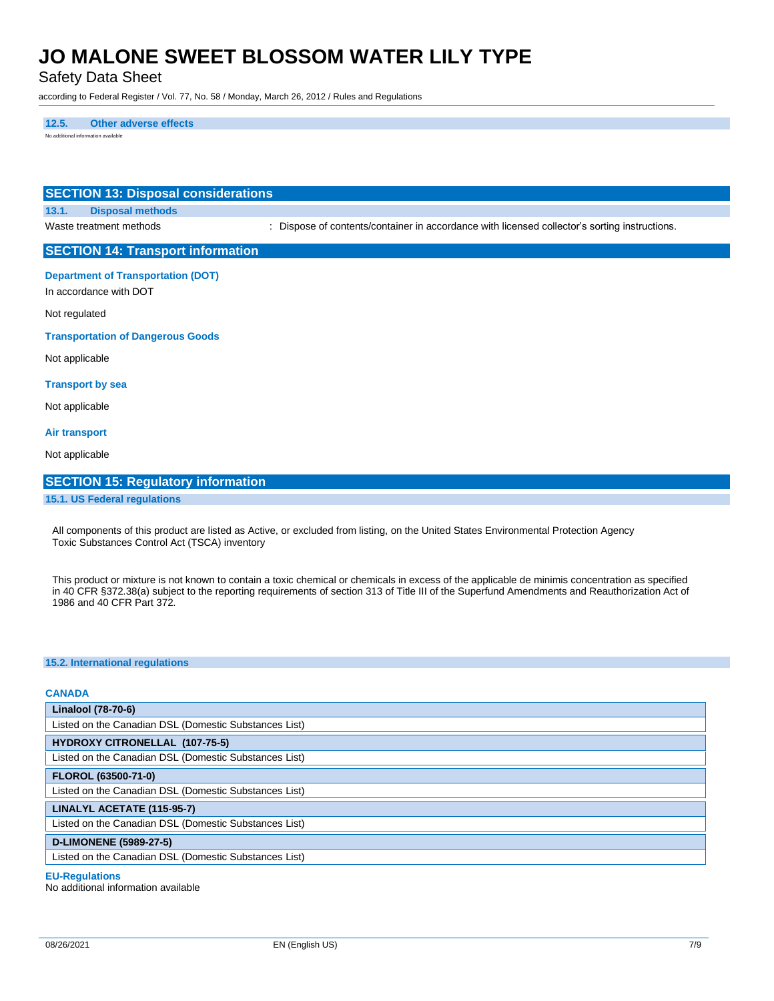Safety Data Sheet

according to Federal Register / Vol. 77, No. 58 / Monday, March 26, 2012 / Rules and Regulations

**12.5. Other adverse effects** No additional information available

## **SECTION 13: Disposal considerations 13.1. Disposal methods** Waste treatment methods : Dispose of contents/container in accordance with licensed collector's sorting instructions. **SECTION 14: Transport information Department of Transportation (DOT)** In accordance with DOT Not regulated **Transportation of Dangerous Goods** Not applicable **Transport by sea** Not applicable **Air transport** Not applicable

### **SECTION 15: Regulatory information**

### **15.1. US Federal regulations**

All components of this product are listed as Active, or excluded from listing, on the United States Environmental Protection Agency Toxic Substances Control Act (TSCA) inventory

This product or mixture is not known to contain a toxic chemical or chemicals in excess of the applicable de minimis concentration as specified in 40 CFR §372.38(a) subject to the reporting requirements of section 313 of Title III of the Superfund Amendments and Reauthorization Act of 1986 and 40 CFR Part 372.

### **15.2. International regulations**

### **CANADA**

| Linalool (78-70-6)                                    |  |  |
|-------------------------------------------------------|--|--|
| Listed on the Canadian DSL (Domestic Substances List) |  |  |
| <b>HYDROXY CITRONELLAL (107-75-5)</b>                 |  |  |
| Listed on the Canadian DSL (Domestic Substances List) |  |  |
| <b>FLOROL (63500-71-0)</b>                            |  |  |
| Listed on the Canadian DSL (Domestic Substances List) |  |  |
| LINALYL ACETATE (115-95-7)                            |  |  |
| Listed on the Canadian DSL (Domestic Substances List) |  |  |
| <b>D-LIMONENE (5989-27-5)</b>                         |  |  |
| Listed on the Canadian DSL (Domestic Substances List) |  |  |

#### **EU-Regulations**

No additional information available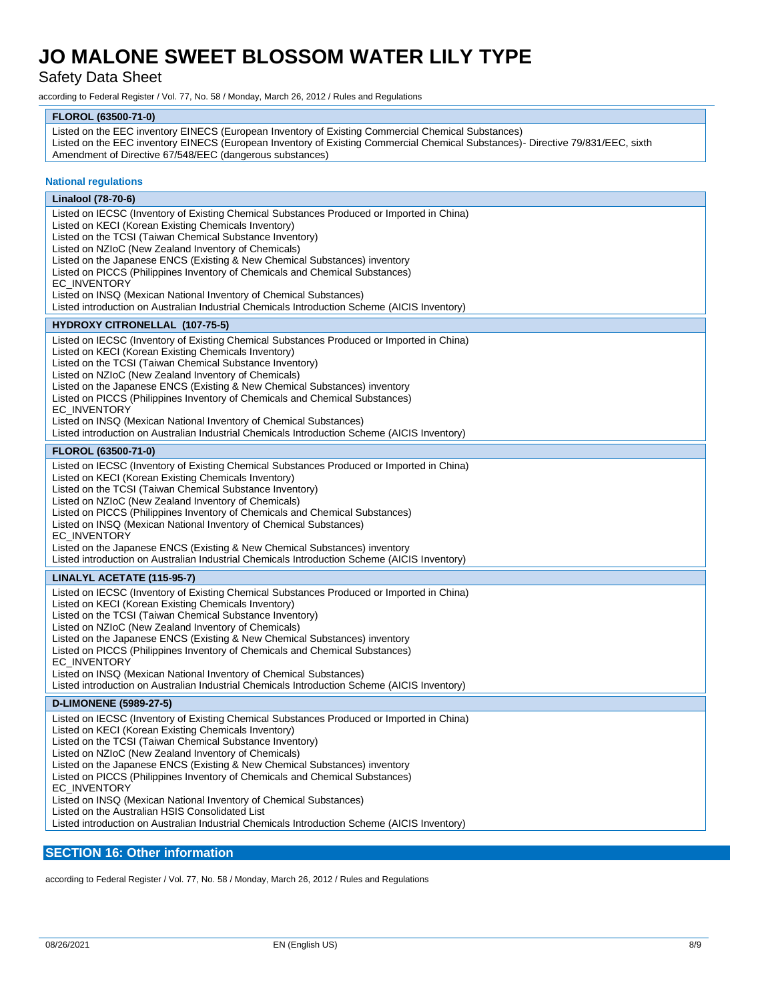## Safety Data Sheet

according to Federal Register / Vol. 77, No. 58 / Monday, March 26, 2012 / Rules and Regulations

### **FLOROL (63500-71-0)**

| Listed on the EEC inventory EINECS (European Inventory of Existing Commercial Chemical Substances)                              |
|---------------------------------------------------------------------------------------------------------------------------------|
| Listed on the EEC inventory EINECS (European Inventory of Existing Commercial Chemical Substances)- Directive 79/831/EEC, sixth |
| Amendment of Directive 67/548/EEC (dangerous substances)                                                                        |

### **National regulations**

| Linalool (78-70-6)                                                                                                                                                                                                                                                                                                                                                                                                                                                                                                                                                                                                                                                                                                                                                                                                                                                                                                                                                                                                        |  |
|---------------------------------------------------------------------------------------------------------------------------------------------------------------------------------------------------------------------------------------------------------------------------------------------------------------------------------------------------------------------------------------------------------------------------------------------------------------------------------------------------------------------------------------------------------------------------------------------------------------------------------------------------------------------------------------------------------------------------------------------------------------------------------------------------------------------------------------------------------------------------------------------------------------------------------------------------------------------------------------------------------------------------|--|
| Listed on IECSC (Inventory of Existing Chemical Substances Produced or Imported in China)<br>Listed on KECI (Korean Existing Chemicals Inventory)<br>Listed on the TCSI (Taiwan Chemical Substance Inventory)<br>Listed on NZIoC (New Zealand Inventory of Chemicals)<br>Listed on the Japanese ENCS (Existing & New Chemical Substances) inventory<br>Listed on PICCS (Philippines Inventory of Chemicals and Chemical Substances)<br>EC_INVENTORY<br>Listed on INSQ (Mexican National Inventory of Chemical Substances)<br>Listed introduction on Australian Industrial Chemicals Introduction Scheme (AICIS Inventory)<br><b>HYDROXY CITRONELLAL (107-75-5)</b><br>Listed on IECSC (Inventory of Existing Chemical Substances Produced or Imported in China)<br>Listed on KECI (Korean Existing Chemicals Inventory)<br>Listed on the TCSI (Taiwan Chemical Substance Inventory)<br>Listed on NZIoC (New Zealand Inventory of Chemicals)<br>Listed on the Japanese ENCS (Existing & New Chemical Substances) inventory |  |
| Listed on PICCS (Philippines Inventory of Chemicals and Chemical Substances)<br>EC INVENTORY                                                                                                                                                                                                                                                                                                                                                                                                                                                                                                                                                                                                                                                                                                                                                                                                                                                                                                                              |  |
| Listed on INSQ (Mexican National Inventory of Chemical Substances)<br>Listed introduction on Australian Industrial Chemicals Introduction Scheme (AICIS Inventory)                                                                                                                                                                                                                                                                                                                                                                                                                                                                                                                                                                                                                                                                                                                                                                                                                                                        |  |
| FLOROL (63500-71-0)                                                                                                                                                                                                                                                                                                                                                                                                                                                                                                                                                                                                                                                                                                                                                                                                                                                                                                                                                                                                       |  |
| Listed on IECSC (Inventory of Existing Chemical Substances Produced or Imported in China)<br>Listed on KECI (Korean Existing Chemicals Inventory)<br>Listed on the TCSI (Taiwan Chemical Substance Inventory)<br>Listed on NZIoC (New Zealand Inventory of Chemicals)<br>Listed on PICCS (Philippines Inventory of Chemicals and Chemical Substances)<br>Listed on INSQ (Mexican National Inventory of Chemical Substances)<br>EC_INVENTORY<br>Listed on the Japanese ENCS (Existing & New Chemical Substances) inventory<br>Listed introduction on Australian Industrial Chemicals Introduction Scheme (AICIS Inventory)                                                                                                                                                                                                                                                                                                                                                                                                 |  |
| LINALYL ACETATE (115-95-7)                                                                                                                                                                                                                                                                                                                                                                                                                                                                                                                                                                                                                                                                                                                                                                                                                                                                                                                                                                                                |  |
| Listed on IECSC (Inventory of Existing Chemical Substances Produced or Imported in China)<br>Listed on KECI (Korean Existing Chemicals Inventory)<br>Listed on the TCSI (Taiwan Chemical Substance Inventory)<br>Listed on NZIoC (New Zealand Inventory of Chemicals)<br>Listed on the Japanese ENCS (Existing & New Chemical Substances) inventory<br>Listed on PICCS (Philippines Inventory of Chemicals and Chemical Substances)<br><b>EC INVENTORY</b><br>Listed on INSQ (Mexican National Inventory of Chemical Substances)<br>Listed introduction on Australian Industrial Chemicals Introduction Scheme (AICIS Inventory)                                                                                                                                                                                                                                                                                                                                                                                          |  |
| <b>D-LIMONENE (5989-27-5)</b>                                                                                                                                                                                                                                                                                                                                                                                                                                                                                                                                                                                                                                                                                                                                                                                                                                                                                                                                                                                             |  |
| Listed on IECSC (Inventory of Existing Chemical Substances Produced or Imported in China)<br>Listed on KECI (Korean Existing Chemicals Inventory)<br>Listed on the TCSI (Taiwan Chemical Substance Inventory)<br>Listed on NZIoC (New Zealand Inventory of Chemicals)<br>Listed on the Japanese ENCS (Existing & New Chemical Substances) inventory<br>Listed on PICCS (Philippines Inventory of Chemicals and Chemical Substances)<br>EC_INVENTORY<br>Listed on INSQ (Mexican National Inventory of Chemical Substances)<br>Listed on the Australian HSIS Consolidated List<br>Listed introduction on Australian Industrial Chemicals Introduction Scheme (AICIS Inventory)                                                                                                                                                                                                                                                                                                                                              |  |

## **SECTION 16: Other information**

according to Federal Register / Vol. 77, No. 58 / Monday, March 26, 2012 / Rules and Regulations